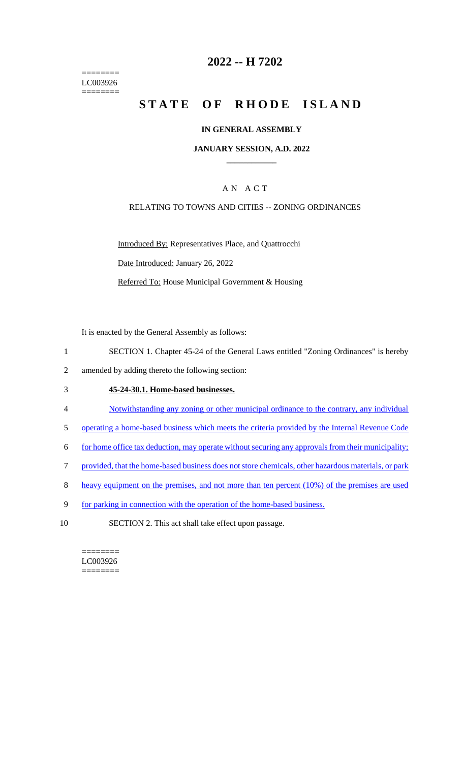======== LC003926 ========

## **2022 -- H 7202**

# **STATE OF RHODE ISLAND**

### **IN GENERAL ASSEMBLY**

## **JANUARY SESSION, A.D. 2022 \_\_\_\_\_\_\_\_\_\_\_\_**

## A N A C T

## RELATING TO TOWNS AND CITIES -- ZONING ORDINANCES

Introduced By: Representatives Place, and Quattrocchi Date Introduced: January 26, 2022 Referred To: House Municipal Government & Housing

It is enacted by the General Assembly as follows:

- 1 SECTION 1. Chapter 45-24 of the General Laws entitled "Zoning Ordinances" is hereby
- 2 amended by adding thereto the following section:

## 3 **45-24-30.1. Home-based businesses.**

- 4 Notwithstanding any zoning or other municipal ordinance to the contrary, any individual
- 5 operating a home-based business which meets the criteria provided by the Internal Revenue Code
- 6 for home office tax deduction, may operate without securing any approvals from their municipality;
- 7 provided, that the home-based business does not store chemicals, other hazardous materials, or park
- 8 heavy equipment on the premises, and not more than ten percent (10%) of the premises are used
- 9 for parking in connection with the operation of the home-based business.
- 10 SECTION 2. This act shall take effect upon passage.

======== LC003926 ========